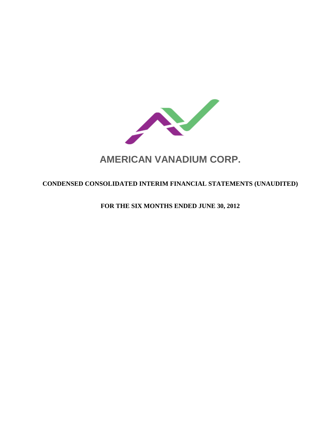

# **AMERICAN VANADIUM CORP.**

# **CONDENSED CONSOLIDATED INTERIM FINANCIAL STATEMENTS (UNAUDITED)**

**FOR THE SIX MONTHS ENDED JUNE 30, 2012**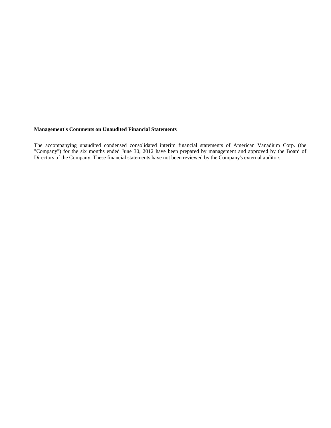#### **Management's Comments on Unaudited Financial Statements**

The accompanying unaudited condensed consolidated interim financial statements of American Vanadium Corp. (the "Company") for the six months ended June 30, 2012 have been prepared by management and approved by the Board of Directors of the Company. These financial statements have not been reviewed by the Company's external auditors.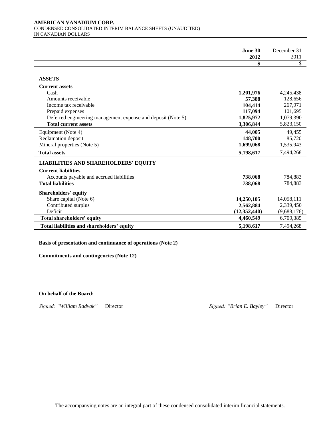#### **AMERICAN VANADIUM CORP.**  CONDENSED CONSOLIDATED INTERIM BALANCE SHEETS (UNAUDITED) IN CANADIAN DOLLARS

|                                                              | June 30      | December 31 |
|--------------------------------------------------------------|--------------|-------------|
|                                                              | 2012         | 2011        |
|                                                              | \$           | \$          |
|                                                              |              |             |
| <b>ASSETS</b>                                                |              |             |
| <b>Current assets</b>                                        |              |             |
| Cash                                                         | 1,201,976    | 4,245,438   |
| Amounts receivable                                           | 57,388       | 128,656     |
| Income tax receivable                                        | 104,414      | 267,971     |
| Prepaid expenses                                             | 117,094      | 101,695     |
| Deferred engineering management expense and deposit (Note 5) | 1,825,972    | 1,079,390   |
| <b>Total current assets</b>                                  | 3,306,844    | 5,823,150   |
| Equipment (Note 4)                                           | 44,005       | 49,455      |
| Reclamation deposit                                          | 148,700      | 85,720      |
| Mineral properties (Note 5)                                  | 1,699,068    | 1,535,943   |
| <b>Total assets</b>                                          | 5,198,617    | 7,494,268   |
| <b>LIABILITIES AND SHAREHOLDERS' EQUITY</b>                  |              |             |
| <b>Current liabilities</b>                                   |              |             |
| Accounts payable and accrued liabilities                     | 738,068      | 784,883     |
| <b>Total liabilities</b>                                     | 738,068      | 784,883     |
| <b>Shareholders' equity</b>                                  |              |             |
| Share capital (Note 6)                                       | 14,250,105   | 14,058,111  |
| Contributed surplus                                          | 2,562,884    | 2,339,450   |
| Deficit                                                      | (12,352,440) | (9,688,176) |
| Total shareholders' equity                                   | 4,460,549    | 6,709,385   |
| Total liabilities and shareholders' equity                   | 5,198,617    | 7,494,268   |

#### **Basis of presentation and continuance of operations (Note 2)**

**Commitments and contingencies (Note 12)**

**On behalf of the Board:**

*Signed: "William Radvak"* Director *Signed: "Brian E. Bayley"* Director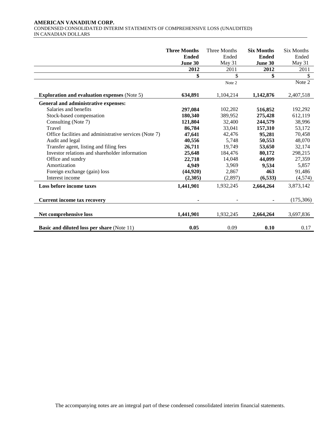#### **AMERICAN VANADIUM CORP.**  CONDENSED CONSOLIDATED INTERIM STATEMENTS OF COMPREHENSIVE LOSS (UNAUDITED) IN CANADIAN DOLLARS

|                                                        | <b>Three Months</b> | Three Months | <b>Six Months</b> | <b>Six Months</b> |
|--------------------------------------------------------|---------------------|--------------|-------------------|-------------------|
|                                                        | <b>Ended</b>        | Ended        | <b>Ended</b>      | Ended             |
|                                                        | June 30             | May 31       | June 30           | May 31            |
|                                                        | 2012                | 2011         | 2012              | 2011              |
|                                                        | \$                  | \$           | \$                | \$                |
|                                                        |                     | Note 2       |                   | Note 2            |
|                                                        |                     |              |                   |                   |
| <b>Exploration and evaluation expenses (Note 5)</b>    | 634,891             | 1,104,214    | 1,142,876         | 2,407,518         |
| General and administrative expenses:                   |                     |              |                   |                   |
| Salaries and benefits                                  | 297,084             | 102,202      | 516,852           | 192,292           |
| Stock-based compensation                               | 180,340             | 389,952      | 275,428           | 612,119           |
| Consulting (Note 7)                                    | 121,804             | 32,400       | 244,579           | 38,996            |
| Travel                                                 | 86,784              | 33,041       | 157,310           | 53,172            |
| Office facilities and administrative services (Note 7) | 47,641              | 42,476       | 95,281            | 70,458            |
| Audit and legal                                        | 40,556              | 5,748        | 50,553            | 48,070            |
| Transfer agent, listing and filing fees                | 26,711              | 19,749       | 53,650            | 32,174            |
| Investor relations and shareholder information         | 25,648              | 184,476      | 80,172            | 298,215           |
| Office and sundry                                      | 22,718              | 14,048       | 44,099            | 27,359            |
| Amortization                                           | 4,949               | 3,969        | 9,534             | 5,857             |
| Foreign exchange (gain) loss                           | (44, 920)           | 2,867        | 463               | 91,486            |
| Interest income                                        | (2,305)             | (2,897)      | (6, 533)          | (4,574)           |
| Loss before income taxes                               | 1,441,901           | 1,932,245    | 2,664,264         | 3,873,142         |
|                                                        |                     |              |                   |                   |
| <b>Current income tax recovery</b>                     |                     |              |                   | (175,306)         |
|                                                        |                     |              |                   |                   |
| Net comprehensive loss                                 | 1,441,901           | 1,932,245    | 2,664,264         | 3,697,836         |
| <b>Basic and diluted loss per share (Note 11)</b>      | 0.05                | 0.09         | 0.10              | 0.17              |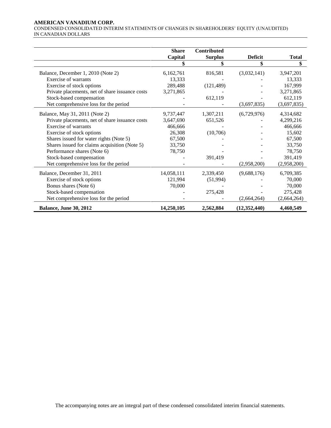#### **AMERICAN VANADIUM CORP.**

CONDENSED CONSOLIDATED INTERIM STATEMENTS OF CHANGES IN SHAREHOLDERS' EQUITY (UNAUDITED) IN CANADIAN DOLLARS

|                                                 | <b>Share</b> | <b>Contributed</b> |                |              |
|-------------------------------------------------|--------------|--------------------|----------------|--------------|
|                                                 | Capital      | <b>Surplus</b>     | <b>Deficit</b> | <b>Total</b> |
|                                                 |              |                    | \$             |              |
| Balance, December 1, 2010 (Note 2)              | 6,162,761    | 816,581            | (3,032,141)    | 3,947,201    |
| Exercise of warrants                            | 13,333       |                    |                | 13,333       |
| Exercise of stock options                       | 289,488      | (121, 489)         |                | 167,999      |
| Private placements, net of share issuance costs | 3,271,865    |                    |                | 3,271,865    |
| Stock-based compensation                        |              | 612,119            |                | 612,119      |
| Net comprehensive loss for the period           |              |                    | (3,697,835)    | (3,697,835)  |
|                                                 |              |                    |                |              |
| Balance, May 31, 2011 (Note 2)                  | 9,737,447    | 1,307,211          | (6,729,976)    | 4,314,682    |
| Private placements, net of share issuance costs | 3,647,690    | 651,526            |                | 4,299,216    |
| <b>Exercise of warrants</b>                     | 466,666      |                    |                | 466,666      |
| Exercise of stock options                       | 26,308       | (10,706)           |                | 15,602       |
| Shares issued for water rights (Note 5)         | 67,500       |                    |                | 67,500       |
| Shares issued for claims acquisition (Note 5)   | 33,750       |                    |                | 33,750       |
| Performance shares (Note 6)                     | 78,750       |                    |                | 78,750       |
| Stock-based compensation                        |              | 391,419            |                | 391,419      |
| Net comprehensive loss for the period           |              |                    | (2,958,200)    | (2,958,200)  |
| Balance, December 31, 2011                      | 14,058,111   | 2,339,450          | (9,688,176)    | 6,709,385    |
| Exercise of stock options                       | 121,994      | (51,994)           |                | 70,000       |
| Bonus shares (Note 6)                           | 70,000       |                    |                | 70,000       |
| Stock-based compensation                        |              | 275,428            |                | 275,428      |
| Net comprehensive loss for the period           |              |                    | (2,664,264)    | (2,664,264)  |
| <b>Balance, June 30, 2012</b>                   | 14,250,105   | 2,562,884          | (12, 352, 440) | 4,460,549    |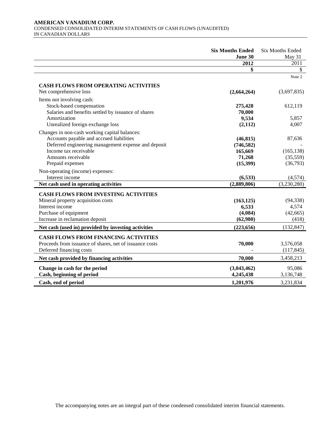#### **AMERICAN VANADIUM CORP.**  CONDENSED CONSOLIDATED INTERIM STATEMENTS OF CASH FLOWS (UNAUDITED) IN CANADIAN DOLLARS

|                                                                                                                                                                                                                     | <b>Six Months Ended</b><br>June 30                       | <b>Six Months Ended</b><br>May 31            |
|---------------------------------------------------------------------------------------------------------------------------------------------------------------------------------------------------------------------|----------------------------------------------------------|----------------------------------------------|
|                                                                                                                                                                                                                     | 2012                                                     | 2011                                         |
|                                                                                                                                                                                                                     | \$                                                       | \$                                           |
|                                                                                                                                                                                                                     |                                                          | Note 2                                       |
| <b>CASH FLOWS FROM OPERATING ACTIVITIES</b><br>Net comprehensive loss                                                                                                                                               | (2,664,264)                                              | (3,697,835)                                  |
| Items not involving cash:<br>Stock-based compensation<br>Salaries and benefits settled by issuance of shares                                                                                                        | 275,428<br>70,000                                        | 612,119                                      |
| Amortization<br>Unrealized foreign exchange loss                                                                                                                                                                    | 9,534<br>(2,112)                                         | 5,857<br>4,007                               |
| Changes in non-cash working capital balances:<br>Accounts payable and accrued liabilities<br>Deferred engineering management expense and deposit<br>Income tax receivable<br>Amounts receivable<br>Prepaid expenses | (46, 815)<br>(746, 582)<br>165,669<br>71,268<br>(15,399) | 87,636<br>(165, 138)<br>(35,559)<br>(36,793) |
| Non-operating (income) expenses:<br>Interest income                                                                                                                                                                 | (6, 533)                                                 | (4,574)                                      |
| Net cash used in operating activities                                                                                                                                                                               | (2,889,806)                                              | (3,230,280)                                  |
| <b>CASH FLOWS FROM INVESTING ACTIVITIES</b><br>Mineral property acquisition costs<br>Interest income<br>Purchase of equipment                                                                                       | (163, 125)<br>6,533<br>(4,084)                           | (94, 338)<br>4,574<br>(42, 665)              |
| Increase in reclamation deposit                                                                                                                                                                                     | (62,980)                                                 | (418)                                        |
| Net cash (used in) provided by investing activities                                                                                                                                                                 | (223, 656)                                               | (132, 847)                                   |
| <b>CASH FLOWS FROM FINANCING ACTIVITIES</b><br>Proceeds from issuance of shares, net of issuance costs<br>Deferred financing costs                                                                                  | 70,000                                                   | 3,576,058<br>(117, 845)                      |
| Net cash provided by financing activities                                                                                                                                                                           | 70,000                                                   | 3,458,213                                    |
| Change in cash for the period<br>Cash, beginning of period                                                                                                                                                          | (3,043,462)<br>4,245,438                                 | 95,086<br>3,136,748                          |
| Cash, end of period                                                                                                                                                                                                 | 1,201,976                                                | 3,231,834                                    |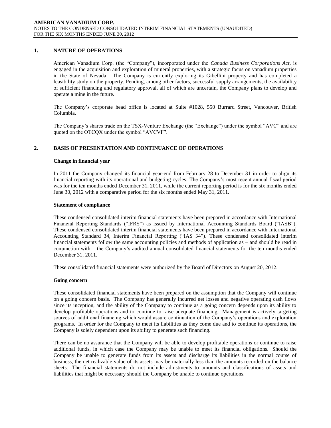# **1. NATURE OF OPERATIONS**

American Vanadium Corp. (the "Company"), incorporated under the *Canada Business Corporations Act*, is engaged in the acquisition and exploration of mineral properties, with a strategic focus on vanadium properties in the State of Nevada. The Company is currently exploring its Gibellini property and has completed a feasibility study on the property. Pending, among other factors, successful supply arrangements, the availability of sufficient financing and regulatory approval, all of which are uncertain, the Company plans to develop and operate a mine in the future.

The Company's corporate head office is located at Suite #1028, 550 Burrard Street, Vancouver, British Columbia.

The Company's shares trade on the TSX-Venture Exchange (the "Exchange") under the symbol "AVC" and are quoted on the OTCQX under the symbol "AVCVF".

# **2. BASIS OF PRESENTATION AND CONTINUANCE OF OPERATIONS**

#### **Change in financial year**

In 2011 the Company changed its financial year-end from February 28 to December 31 in order to align its financial reporting with its operational and budgeting cycles. The Company's most recent annual fiscal period was for the ten months ended December 31, 2011, while the current reporting period is for the six months ended June 30, 2012 with a comparative period for the six months ended May 31, 2011.

#### **Statement of compliance**

These condensed consolidated interim financial statements have been prepared in accordance with International Financial Reporting Standards ("IFRS") as issued by International Accounting Standards Board ("IASB"). These condensed consolidated interim financial statements have been prepared in accordance with International Accounting Standard 34, Interim Financial Reporting ("IAS 34"). These condensed consolidated interim financial statements follow the same accounting policies and methods of application as – and should be read in conjunction with – the Company's audited annual consolidated financial statements for the ten months ended December 31, 2011.

These consolidated financial statements were authorized by the Board of Directors on August 20, 2012.

#### **Going concern**

These consolidated financial statements have been prepared on the assumption that the Company will continue on a going concern basis. The Company has generally incurred net losses and negative operating cash flows since its inception, and the ability of the Company to continue as a going concern depends upon its ability to develop profitable operations and to continue to raise adequate financing. Management is actively targeting sources of additional financing which would assure continuation of the Company's operations and exploration programs. In order for the Company to meet its liabilities as they come due and to continue its operations, the Company is solely dependent upon its ability to generate such financing.

There can be no assurance that the Company will be able to develop profitable operations or continue to raise additional funds, in which case the Company may be unable to meet its financial obligations. Should the Company be unable to generate funds from its assets and discharge its liabilities in the normal course of business, the net realizable value of its assets may be materially less than the amounts recorded on the balance sheets. The financial statements do not include adjustments to amounts and classifications of assets and liabilities that might be necessary should the Company be unable to continue operations.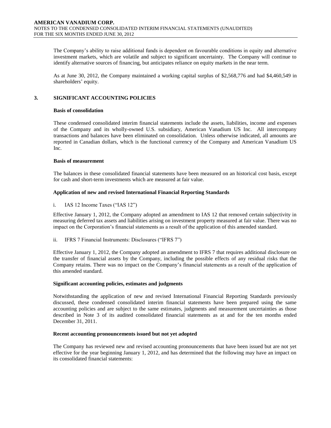The Company's ability to raise additional funds is dependent on favourable conditions in equity and alternative investment markets, which are volatile and subject to significant uncertainty. The Company will continue to identify alternative sources of financing, but anticipates reliance on equity markets in the near term.

As at June 30, 2012, the Company maintained a working capital surplus of \$2,568,776 and had \$4,460,549 in shareholders' equity.

# **3. SIGNIFICANT ACCOUNTING POLICIES**

#### **Basis of consolidation**

These condensed consolidated interim financial statements include the assets, liabilities, income and expenses of the Company and its wholly-owned U.S. subsidiary, American Vanadium US Inc. All intercompany transactions and balances have been eliminated on consolidation. Unless otherwise indicated, all amounts are reported in Canadian dollars, which is the functional currency of the Company and American Vanadium US Inc.

#### **Basis of measurement**

The balances in these consolidated financial statements have been measured on an historical cost basis, except for cash and short-term investments which are measured at fair value.

#### **Application of new and revised International Financial Reporting Standards**

#### i. IAS 12 Income Taxes ("IAS 12")

Effective January 1, 2012, the Company adopted an amendment to IAS 12 that removed certain subjectivity in measuring deferred tax assets and liabilities arising on investment property measured at fair value. There was no impact on the Corporation's financial statements as a result of the application of this amended standard.

ii. IFRS 7 Financial Instruments: Disclosures ("IFRS 7")

Effective January 1, 2012, the Company adopted an amendment to IFRS 7 that requires additional disclosure on the transfer of financial assets by the Company, including the possible effects of any residual risks that the Company retains. There was no impact on the Company's financial statements as a result of the application of this amended standard.

#### **Significant accounting policies, estimates and judgments**

Notwithstanding the application of new and revised International Financial Reporting Standards previously discussed, these condensed consolidated interim financial statements have been prepared using the same accounting policies and are subject to the same estimates, judgments and measurement uncertainties as those described in Note 3 of its audited consolidated financial statements as at and for the ten months ended December 31, 2011.

#### **Recent accounting pronouncements issued but not yet adopted**

The Company has reviewed new and revised accounting pronouncements that have been issued but are not yet effective for the year beginning January 1, 2012, and has determined that the following may have an impact on its consolidated financial statements: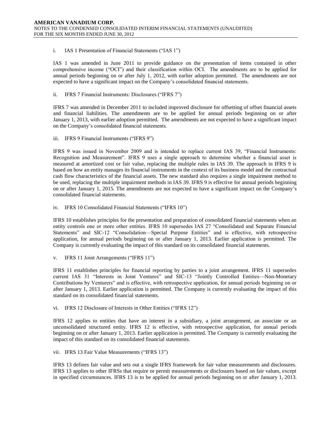### i. IAS 1 Presentation of Financial Statements ("IAS 1")

IAS 1 was amended in June 2011 to provide guidance on the presentation of items contained in other comprehensive income ("OCI") and their classification within OCI. The amendments are to be applied for annual periods beginning on or after July 1, 2012, with earlier adoption permitted. The amendments are not expected to have a significant impact on the Company's consolidated financial statements.

#### ii. IFRS 7 Financial Instruments: Disclosures ("IFRS 7")

IFRS 7 was amended in December 2011 to included improved disclosure for offsetting of offset financial assets and financial liabilities. The amendments are to be applied for annual periods beginning on or after January 1, 2013, with earlier adoption permitted. The amendments are not expected to have a significant impact on the Company's consolidated financial statements.

#### iii. IFRS 9 Financial Instruments ("IFRS 9")

IFRS 9 was issued in November 2009 and is intended to replace current IAS 39, "Financial Instruments: Recognition and Measurement". IFRS 9 uses a single approach to determine whether a financial asset is measured at amortized cost or fair value, replacing the multiple rules in IAS 39. The approach in IFRS 9 is based on how an entity manages its financial instruments in the context of its business model and the contractual cash flow characteristics of the financial assets. The new standard also requires a single impairment method to be used, replacing the multiple impairment methods in IAS 39. IFRS 9 is effective for annual periods beginning on or after January 1, 2015. The amendments are not expected to have a significant impact on the Company's consolidated financial statements.

#### iv. IFRS 10 Consolidated Financial Statements ("IFRS 10")

IFRS 10 establishes principles for the presentation and preparation of consolidated financial statements when an entity controls one or more other entities. IFRS 10 supersedes IAS 27 "Consolidated and Separate Financial Statements" and SIC-12 "Consolidation—Special Purpose Entities" and is effective, with retrospective application, for annual periods beginning on or after January 1, 2013. Earlier application is permitted. The Company is currently evaluating the impact of this standard on its consolidated financial statements.

v. IFRS 11 Joint Arrangements ("IFRS 11")

IFRS 11 establishes principles for financial reporting by parties to a joint arrangement. IFRS 11 supersedes current IAS 31 "Interests in Joint Ventures" and SIC-13 "Jointly Controlled Entities—Non-Monetary Contributions by Venturers" and is effective, with retrospective application, for annual periods beginning on or after January 1, 2013. Earlier application is permitted. The Company is currently evaluating the impact of this standard on its consolidated financial statements.

vi. IFRS 12 Disclosure of Interests in Other Entities ("IFRS 12")

IFRS 12 applies to entities that have an interest in a subsidiary, a joint arrangement, an associate or an unconsolidated structured entity. IFRS 12 is effective, with retrospective application, for annual periods beginning on or after January 1, 2013. Earlier application is permitted. The Company is currently evaluating the impact of this standard on its consolidated financial statements.

#### vii. IFRS 13 Fair Value Measurements ("IFRS 13")

IFRS 13 defines fair value and sets out a single IFRS framework for fair value measurements and disclosures. IFRS 13 applies to other IFRSs that require or permit measurements or disclosures based on fair values, except in specified circumstances. IFRS 13 is to be applied for annual periods beginning on or after January 1, 2013.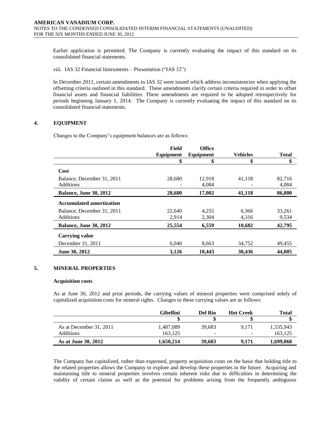Earlier application is permitted. The Company is currently evaluating the impact of this standard on its consolidated financial statements.

viii. IAS 32 Financial Instruments – Presentation ("IAS 32")

In December 2011, certain amendments to IAS 32 were issued which address inconsistencies when applying the offsetting criteria outlined in this standard. These amendments clarify certain criteria required in order to offset financial assets and financial liabilities. These amendments are required to be adopted retrospectively for periods beginning January 1, 2014. The Company is currently evaluating the impact of this standard on its consolidated financial statements.

# **4. EQUIPMENT**

Changes to the Company's equipment balances are as follows:

|                                 | Field     | <b>Office</b> |                 |              |
|---------------------------------|-----------|---------------|-----------------|--------------|
|                                 | Equipment | Equipment     | <b>Vehicles</b> | <b>Total</b> |
|                                 | \$        | \$            | \$              | \$           |
| Cost                            |           |               |                 |              |
| Balance, December 31, 2011      | 28,680    | 12.918        | 41,118          | 82,716       |
| Additions                       |           | 4.084         |                 | 4,084        |
| <b>Balance, June 30, 2012</b>   | 28,680    | 17,002        | 41,118          | 86,800       |
| <b>Accumulated amortization</b> |           |               |                 |              |
| Balance, December 31, 2011      | 22,640    | 4.255         | 6.366           | 33,261       |
| Additions                       | 2,914     | 2,304         | 4,316           | 9,534        |
| <b>Balance, June 30, 2012</b>   | 25,554    | 6,559         | 10,682          | 42,795       |
| <b>Carrying value</b>           |           |               |                 |              |
| December 31, 2011               | 6,040     | 8,663         | 34,752          | 49,455       |
| June 30, 2012                   | 3,126     | 10.443        | 30,436          | 44,005       |

#### **5. MINERAL PROPERTIES**

#### **Acquisition costs**

As at June 30, 2012 and prior periods, the carrying values of mineral properties were comprised solely of capitalized acquisition costs for mineral rights. Changes to these carrying values are as follows:

|                         | Gibellini | Del Rio                  | <b>Hot Creek</b> | <b>Total</b> |
|-------------------------|-----------|--------------------------|------------------|--------------|
|                         | ۰D        |                          |                  |              |
| As at December 31, 2011 | 1.487.089 | 39.683                   | 9.171            | 1,535,943    |
| <b>Additions</b>        | 163.125   | $\overline{\phantom{a}}$ | -                | 163,125      |
| As at June 30, 2012     | 1,650,214 | 39,683                   | 9.171            | 1,699,068    |

The Company has capitalized, rather than expensed, property acquisition costs on the basis that holding title to the related properties allows the Company to explore and develop these properties in the future. Acquiring and maintaining title to mineral properties involves certain inherent risks due to difficulties in determining the validity of certain claims as well as the potential for problems arising from the frequently ambiguous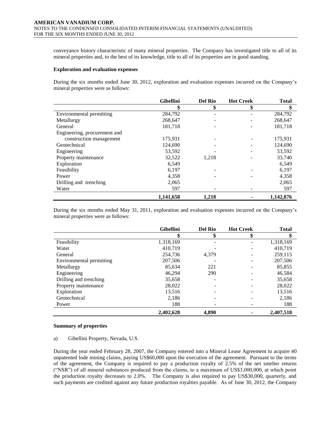conveyance history characteristic of many mineral properties. The Company has investigated title to all of its mineral properties and, to the best of its knowledge, title to all of its properties are in good standing.

#### **Exploration and evaluation expenses**

During the six months ended June 30, 2012, exploration and evaluation expenses incurred on the Company's mineral properties were as follows:

|                              | <b>Gibellini</b> | <b>Del Rio</b> | <b>Hot Creek</b> | <b>Total</b> |
|------------------------------|------------------|----------------|------------------|--------------|
|                              | \$               | \$             |                  | \$           |
| Environmental permitting     | 284,792          |                |                  | 284,792      |
| Metallurgy                   | 268,647          |                |                  | 268,647      |
| General                      | 181,718          |                |                  | 181,718      |
| Engineering, procurement and |                  |                |                  |              |
| construction management      | 175,931          |                |                  | 175,931      |
| Geotechnical                 | 124,690          |                |                  | 124,690      |
| Engineering                  | 53,592           |                |                  | 53,592       |
| Property maintenance         | 32,522           | 1,218          |                  | 33,740       |
| Exploration                  | 6,549            |                |                  | 6,549        |
| Feasibility                  | 6,197            |                |                  | 6,197        |
| Power                        | 4,358            |                |                  | 4,358        |
| Drilling and trenching       | 2,065            |                |                  | 2,065        |
| Water                        | 597              |                |                  | 597          |
|                              | 1,141,658        | 1,218          |                  | 1,142,876    |

During the six months ended May 31, 2011, exploration and evaluation expenses incurred on the Company's mineral properties were as follows:

|                          | <b>Gibellini</b> | <b>Del Rio</b> | <b>Hot Creek</b> | <b>Total</b> |
|--------------------------|------------------|----------------|------------------|--------------|
|                          | \$               | \$             | \$               | \$           |
| Feasibility              | 1,318,169        |                |                  | 1,318,169    |
| Water                    | 410.719          |                |                  | 410.719      |
| General                  | 254.736          | 4,379          |                  | 259,115      |
| Environmental permitting | 207,506          |                |                  | 207,506      |
| Metallurgy               | 85,634           | 221            |                  | 85,855       |
| Engineering              | 46,294           | 290            |                  | 46,584       |
| Drilling and trenching   | 35,658           |                |                  | 35,658       |
| Property maintenance     | 28,022           |                |                  | 28,022       |
| Exploration              | 13,516           |                |                  | 13,516       |
| Geotechnical             | 2,186            |                |                  | 2,186        |
| Power                    | 188              |                |                  | 188          |
|                          | 2,402,628        | 4,890          |                  | 2.407.518    |

#### **Summary of properties**

a) Gibellini Property, Nevada, U.S.

During the year ended February 28, 2007, the Company entered into a Mineral Lease Agreement to acquire 40 unpatented lode mining claims, paying US\$60,000 upon the execution of the agreement. Pursuant to the terms of the agreement, the Company is required to pay a production royalty of 2.5% of the net smelter returns ("NSR") of all mineral substances produced from the claims, to a maximum of US\$3,000,000, at which point the production royalty decreases to 2.0%. The Company is also required to pay US\$30,000, quarterly, and such payments are credited against any future production royalties payable. As of June 30, 2012, the Company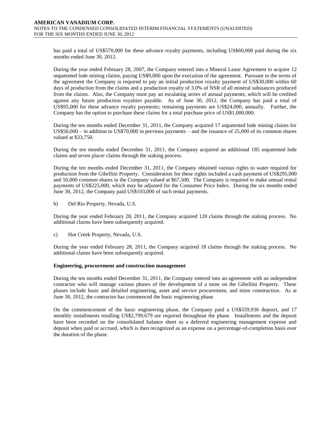has paid a total of US\$570,000 for these advance royalty payments, including US\$60,000 paid during the six months ended June 30, 2012.

During the year ended February 28, 2007, the Company entered into a Mineral Lease Agreement to acquire 12 unpatented lode mining claims, paying US\$9,000 upon the execution of the agreement. Pursuant to the terms of the agreement the Company is required to pay an initial production royalty payment of US\$30,000 within 60 days of production from the claims and a production royalty of 3.0% of NSR of all mineral substances produced from the claims. Also, the Company must pay an escalating series of annual payments, which will be credited against any future production royalties payable. As of June 30, 2012, the Company has paid a total of US\$95,000 for these advance royalty payments; remaining payments are US\$24,000, annually. Further, the Company has the option to purchase these claims for a total purchase price of US\$1,000,000.

During the ten months ended December 31, 2011, the Company acquired 17 unpatented lode mining claims for US\$50,000 – in addition to US\$70,000 in previous payments – and the issuance of 25,000 of its common shares valued at \$33,750.

During the ten months ended December 31, 2011, the Company acquired an additional 185 unpatented lode claims and seven placer claims through the staking process.

During the ten months ended December 31, 2011, the Company obtained various rights to water required for production from the Gibellini Property. Consideration for these rights included a cash payment of US\$295,000 and 50,000 common shares in the Company valued at \$67,500. The Company is required to make annual rental payments of US\$225,000, which may be adjusted for the Consumer Price Index. During the six months ended June 30, 2012, the Company paid US\$103,000 of such rental payments.

b) Del Rio Property, Nevada, U.S.

During the year ended February 28, 2011, the Company acquired 120 claims through the staking process. No additional claims have been subsequently acquired.

c) Hot Creek Property, Nevada, U.S.

During the year ended February 28, 2011, the Company acquired 18 claims through the staking process. No additional claims have been subsequently acquired.

#### **Engineering, procurement and construction management**

During the ten months ended December 31, 2011, the Company entered into an agreement with an independent contractor who will manage various phases of the development of a mine on the Gibellini Property. These phases include basic and detailed engineering, asset and service procurement, and mine construction. As at June 30, 2012, the contractor has commenced the basic engineering phase.

On the commencement of the basic engineering phase, the Company paid a US\$559,936 deposit, and 17 monthly installments totalling US\$2,799,679 are required throughout the phase. Installments and the deposit have been recorded on the consolidated balance sheet as a deferred engineering management expense and deposit when paid or accrued, which is then recognized as an expense on a percentage-of-completion basis over the duration of the phase.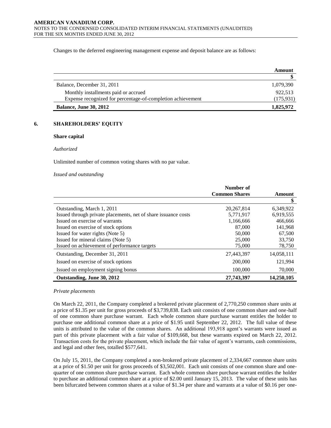Changes to the deferred engineering management expense and deposit balance are as follows:

|                                                             | Amount     |
|-------------------------------------------------------------|------------|
|                                                             |            |
| Balance, December 31, 2011                                  | 1,079,390  |
| Monthly installments paid or accrued                        | 922.513    |
| Expense recognized for percentage-of-completion achievement | (175, 931) |
| <b>Balance, June 30, 2012</b>                               | 1,825,972  |

#### **6. SHAREHOLDERS' EQUITY**

#### **Share capital**

#### *Authorized*

Unlimited number of common voting shares with no par value.

#### *Issued and outstanding*

|                                                                | Number of            |            |
|----------------------------------------------------------------|----------------------|------------|
|                                                                | <b>Common Shares</b> | Amount     |
|                                                                |                      | \$         |
| Outstanding, March 1, 2011                                     | 20, 267, 814         | 6,349,922  |
| Issued through private placements, net of share issuance costs | 5,771,917            | 6,919,555  |
| Issued on exercise of warrants                                 | 1,166,666            | 466,666    |
| Issued on exercise of stock options                            | 87,000               | 141,968    |
| Issued for water rights (Note 5)                               | 50,000               | 67,500     |
| Issued for mineral claims (Note 5)                             | 25,000               | 33,750     |
| Issued on achievement of performance targets                   | 75,000               | 78,750     |
| Outstanding, December 31, 2011                                 | 27,443,397           | 14,058,111 |
| Issued on exercise of stock options                            | 200,000              | 121.994    |
| Issued on employment signing bonus                             | 100,000              | 70,000     |
| Outstanding, June 30, 2012                                     | 27,743,397           | 14,250,105 |

#### *Private placements*

On March 22, 2011, the Company completed a brokered private placement of 2,770,250 common share units at a price of \$1.35 per unit for gross proceeds of \$3,739,838. Each unit consists of one common share and one-half of one common share purchase warrant. Each whole common share purchase warrant entitles the holder to purchase one additional common share at a price of \$1.95 until September 22, 2012. The full value of these units is attributed to the value of the common shares. An additional 193,918 agent's warrants were issued as part of this private placement with a fair value of \$109,668, but these warrants expired on March 22, 2012. Transaction costs for the private placement, which include the fair value of agent's warrants, cash commissions, and legal and other fees, totalled \$577,641.

On July 15, 2011, the Company completed a non-brokered private placement of 2,334,667 common share units at a price of \$1.50 per unit for gross proceeds of \$3,502,001. Each unit consists of one common share and onequarter of one common share purchase warrant. Each whole common share purchase warrant entitles the holder to purchase an additional common share at a price of \$2.00 until January 15, 2013. The value of these units has been bifurcated between common shares at a value of \$1.34 per share and warrants at a value of \$0.16 per one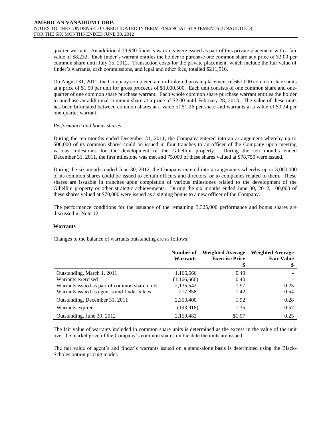quarter warrant. An additional 23,940 finder's warrants were issued as part of this private placement with a fair value of \$8,232. Each finder's warrant entitles the holder to purchase one common share at a price of \$2.00 per common share until July 15, 2012. Transaction costs for the private placement, which include the fair value of finder's warrants, cash commissions, and legal and other fees, totalled \$211,516.

On August 31, 2011, the Company completed a non-brokered private placement of 667,000 common share units at a price of \$1.50 per unit for gross proceeds of \$1,000,500. Each unit consists of one common share and onequarter of one common share purchase warrant. Each whole common share purchase warrant entitles the holder to purchase an additional common share at a price of \$2.00 until February 28, 2013. The value of these units has been bifurcated between common shares at a value of \$1.26 per share and warrants at a value of \$0.24 per one-quarter warrant.

#### *Performance and bonus shares*

During the ten months ended December 31, 2011, the Company entered into an arrangement whereby up to 500,000 of its common shares could be issued in four tranches to an officer of the Company upon meeting various milestones for the development of the Gibellini property. During the ten months ended December 31, 2011, the first milestone was met and 75,000 of these shares valued at \$78,750 were issued.

During the six months ended June 30, 2012, the Company entered into arrangements whereby up to 3,000,000 of its common shares could be issued to certain officers and directors, or to companies related to them. These shares are issuable in tranches upon completion of various milestones related to the development of the Gibellini property or other strategic achievements. During the six months ended June 30, 2012, 100,000 of these shares valued at \$70,000 were issued as a signing bonus to a new officer of the Company.

The performance conditions for the issuance of the remaining 3,325,000 performance and bonus shares are discussed in Note 12.

#### **Warrants**

Changes to the balance of warrants outstanding are as follows:

|                                               | Number of<br><b>Warrants</b> | <b>Weighted Average</b><br><b>Exercise Price</b> | <b>Weighted Average</b><br><b>Fair Value</b> |
|-----------------------------------------------|------------------------------|--------------------------------------------------|----------------------------------------------|
|                                               |                              |                                                  |                                              |
| Outstanding, March 1, 2011                    | 1,166,666                    | 0.40                                             |                                              |
| Warrants exercised                            | (1,166,666)                  | 0.40                                             |                                              |
| Warrants issued as part of common share units | 2,135,542                    | 1.97                                             | 0.25                                         |
| Warrants issued as agent's and finder's fees  | 217,858                      | 1.42                                             | 0.54                                         |
| Outstanding, December 31, 2011                | 2,353,400                    | 1.92                                             | 0.28                                         |
| Warrants expired                              | (193, 918)                   | 1.35                                             | 0.57                                         |
| Outstanding, June 30, 2012                    | 2,159,482                    | \$1.97                                           | 0.25                                         |

The fair value of warrants included in common share units is determined as the excess in the value of the unit over the market price of the Company's common shares on the date the units are issued.

The fair value of agent's and finder's warrants issued on a stand-alone basis is determined using the Black-Scholes option pricing model.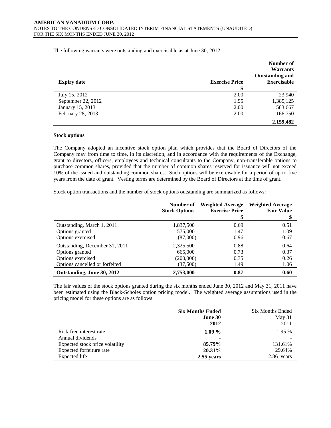The following warrants were outstanding and exercisable as at June 30, 2012:

|                    |                       | Number of              |
|--------------------|-----------------------|------------------------|
|                    |                       | <b>Warrants</b>        |
|                    |                       | <b>Outstanding and</b> |
| <b>Expiry date</b> | <b>Exercise Price</b> | <b>Exercisable</b>     |
|                    | ۰D                    |                        |
| July 15, 2012      | 2.00                  | 23,940                 |
| September 22, 2012 | 1.95                  | 1,385,125              |
| January 15, 2013   | 2.00                  | 583,667                |
| February 28, 2013  | 2.00                  | 166,750                |
|                    |                       | 2,159,482              |

#### **Stock options**

The Company adopted an incentive stock option plan which provides that the Board of Directors of the Company may from time to time, in its discretion, and in accordance with the requirements of the Exchange, grant to directors, officers, employees and technical consultants to the Company, non-transferable options to purchase common shares, provided that the number of common shares reserved for issuance will not exceed 10% of the issued and outstanding common shares. Such options will be exercisable for a period of up to five years from the date of grant. Vesting terms are determined by the Board of Directors at the time of grant.

Stock option transactions and the number of stock options outstanding are summarized as follows:

|                                | Number of<br><b>Stock Options</b> | <b>Weighted Average</b><br><b>Exercise Price</b> | <b>Weighted Average</b><br><b>Fair Value</b> |
|--------------------------------|-----------------------------------|--------------------------------------------------|----------------------------------------------|
|                                |                                   | Φ                                                | Ю                                            |
| Outstanding, March 1, 2011     | 1,837,500                         | 0.69                                             | 0.51                                         |
| Options granted                | 575,000                           | 1.47                                             | 1.09                                         |
| Options exercised              | (87,000)                          | 0.96                                             | 0.67                                         |
| Outstanding, December 31, 2011 | 2,325,500                         | 0.88                                             | 0.64                                         |
| Options granted                | 665,000                           | 0.73                                             | 0.37                                         |
| Options exercised              | (200,000)                         | 0.35                                             | 0.26                                         |
| Options cancelled or forfeited | (37,500)                          | 1.49                                             | 1.06                                         |
| Outstanding, June 30, 2012     | 2,753,000                         | 0.87                                             | 0.60                                         |

The fair values of the stock options granted during the six months ended June 30, 2012 and May 31, 2011 have been estimated using the Black-Scholes option pricing model. The weighted average assumptions used in the pricing model for these options are as follows:

|                                 | <b>Six Months Ended</b> | <b>Six Months Ended</b> |
|---------------------------------|-------------------------|-------------------------|
|                                 | June 30                 | May $31$                |
|                                 | 2012                    | 2011                    |
| Risk-free interest rate         | $1.09\%$                | 1.95 %                  |
| Annual dividends                | ۰                       |                         |
| Expected stock price volatility | 85.79%                  | 131.61%                 |
| Expected forfeiture rate        | 20.31%                  | 29.64%                  |
| Expected life                   | $2.55$ years            | 2.86 years              |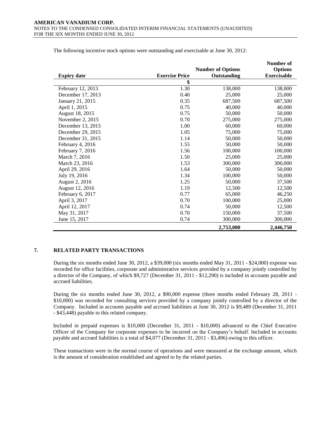|                    |                       |                          | Number of          |
|--------------------|-----------------------|--------------------------|--------------------|
|                    |                       | <b>Number of Options</b> | <b>Options</b>     |
| <b>Expiry date</b> | <b>Exercise Price</b> | Outstanding              | <b>Exercisable</b> |
|                    | \$                    |                          |                    |
| February 12, 2013  | 1.30                  | 138,000                  | 138,000            |
| December 17, 2013  | 0.40                  | 25,000                   | 25,000             |
| January 21, 2015   | 0.35                  | 687,500                  | 687,500            |
| April 1, 2015      | 0.75                  | 40,000                   | 40,000             |
| August 18, 2015    | 0.75                  | 50,000                   | 50,000             |
| November 2, 2015   | 0.70                  | 275,000                  | 275,000            |
| December 13, 2015  | 1.00                  | 60,000                   | 60,000             |
| December 29, 2015  | 1.05                  | 75,000                   | 75,000             |
| December 31, 2015  | 1.14                  | 50,000                   | 50,000             |
| February 4, 2016   | 1.55                  | 50,000                   | 50,000             |
| February 7, 2016   | 1.56                  | 100,000                  | 100,000            |
| March 7, 2016      | 1.50                  | 25,000                   | 25,000             |
| March 23, 2016     | 1.53                  | 300,000                  | 300,000            |
| April 29, 2016     | 1.64                  | 50,000                   | 50,000             |
| July 19, 2016      | 1.34                  | 100,000                  | 50,000             |
| August 2, 2016     | 1.25                  | 50,000                   | 37,500             |
| August 12, 2016    | 1.19                  | 12,500                   | 12,500             |
| February 6, 2017   | 0.77                  | 65,000                   | 46,250             |
| April 3, 2017      | 0.70                  | 100,000                  | 25,000             |
| April 12, 2017     | 0.74                  | 50,000                   | 12,500             |
| May 31, 2017       | 0.70                  | 150,000                  | 37,500             |
| June 15, 2017      | 0.74                  | 300,000                  | 300,000            |
|                    |                       | 2,753,000                | 2,446,750          |

The following incentive stock options were outstanding and exercisable at June 30, 2012:

# **7. RELATED PARTY TRANSACTIONS**

During the six months ended June 30, 2012, a \$39,000 (six months ended May 31, 2011 - \$24,000) expense was recorded for office facilities, corporate and administrative services provided by a company jointly controlled by a director of the Company, of which \$9,727 (December 31, 2011 - \$12,290) is included in accounts payable and accrued liabilities.

During the six months ended June 30, 2012, a \$90,000 expense (three months ended February 28, 2011 - \$10,000) was recorded for consulting services provided by a company jointly controlled by a director of the Company. Included in accounts payable and accrued liabilities at June 30, 2012 is \$9,489 (December 31, 2011 - \$43,448) payable to this related company.

Included in prepaid expenses is \$10,000 (December 31, 2011 - \$10,000) advanced to the Chief Executive Officer of the Company for corporate expenses to be incurred on the Company's behalf. Included in accounts payable and accrued liabilities is a total of \$4,077 (December 31, 2011 - \$3,496) owing to this officer.

These transactions were in the normal course of operations and were measured at the exchange amount, which is the amount of consideration established and agreed to by the related parties.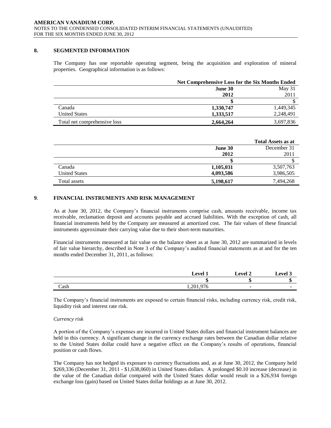#### **8. SEGMENTED INFORMATION**

The Company has one reportable operating segment, being the acquisition and exploration of mineral properties. Geographical information is as follows:

|                              |           | <b>Net Comprehensive Loss for the Six Months Ended</b> |  |
|------------------------------|-----------|--------------------------------------------------------|--|
|                              | June 30   | May $31$                                               |  |
|                              | 2012      | 2011                                                   |  |
|                              |           |                                                        |  |
| Canada                       | 1,330,747 | 1,449,345                                              |  |
| <b>United States</b>         | 1,333,517 | 2,248,491                                              |  |
| Total net comprehensive loss | 2,664,264 | 3,697,836                                              |  |

|                      |           | Total Assets as at |
|----------------------|-----------|--------------------|
|                      | June 30   | December 31        |
|                      | 2012      | 2011               |
|                      |           |                    |
| Canada               | 1,105,031 | 3,507,763          |
| <b>United States</b> | 4,093,586 | 3,986,505          |
| Total assets         | 5,198,617 | 7,494,268          |

# **9**. **FINANCIAL INSTRUMENTS AND RISK MANAGEMENT**

As at June 30, 2012, the Company's financial instruments comprise cash, amounts receivable, income tax receivable, reclamation deposit and accounts payable and accrued liabilities. With the exception of cash, all financial instruments held by the Company are measured at amortized cost. The fair values of these financial instruments approximate their carrying value due to their short-term maturities.

Financial instruments measured at fair value on the balance sheet as at June 30, 2012 are summarized in levels of fair value hierarchy, described in Note 3 of the Company's audited financial statements as at and for the ten months ended December 31, 2011, as follows:

|      | <b>Level</b>             | $\mathsf{\mathsf{\scriptstyle{L}}}$ evel 2 | Level 3 |
|------|--------------------------|--------------------------------------------|---------|
|      |                          |                                            |         |
| Cash | 201.976<br>76<br>1,201,7 |                                            |         |

The Company's financial instruments are exposed to certain financial risks, including currency risk, credit risk, liquidity risk and interest rate risk.

#### *Currency risk*

A portion of the Company's expenses are incurred in United States dollars and financial instrument balances are held in this currency. A significant change in the currency exchange rates between the Canadian dollar relative to the United States dollar could have a negative effect on the Company's results of operations, financial position or cash flows.

The Company has not hedged its exposure to currency fluctuations and, as at June 30, 2012, the Company held \$269,336 (December 31, 2011 - \$1,638,060) in United States dollars. A prolonged \$0.10 increase (decrease) in the value of the Canadian dollar compared with the United States dollar would result in a \$26,934 foreign exchange loss (gain) based on United States dollar holdings as at June 30, 2012.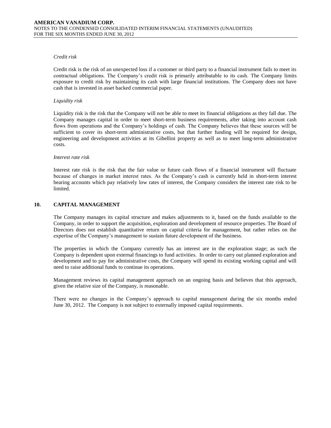#### *Credit risk*

Credit risk is the risk of an unexpected loss if a customer or third party to a financial instrument fails to meet its contractual obligations. The Company's credit risk is primarily attributable to its cash. The Company limits exposure to credit risk by maintaining its cash with large financial institutions. The Company does not have cash that is invested in asset backed commercial paper.

#### *Liquidity risk*

Liquidity risk is the risk that the Company will not be able to meet its financial obligations as they fall due. The Company manages capital in order to meet short-term business requirements, after taking into account cash flows from operations and the Company's holdings of cash. The Company believes that these sources will be sufficient to cover its short-term administrative costs, but that further funding will be required for design, engineering and development activities at its Gibellini property as well as to meet long-term administrative costs.

#### *Interest rate risk*

Interest rate risk is the risk that the fair value or future cash flows of a financial instrument will fluctuate because of changes in market interest rates. As the Company's cash is currently held in short-term interest bearing accounts which pay relatively low rates of interest, the Company considers the interest rate risk to be limited.

# **10. CAPITAL MANAGEMENT**

The Company manages its capital structure and makes adjustments to it, based on the funds available to the Company, in order to support the acquisition, exploration and development of resource properties. The Board of Directors does not establish quantitative return on capital criteria for management, but rather relies on the expertise of the Company's management to sustain future development of the business.

The properties in which the Company currently has an interest are in the exploration stage; as such the Company is dependent upon external financings to fund activities. In order to carry out planned exploration and development and to pay for administrative costs, the Company will spend its existing working capital and will need to raise additional funds to continue its operations.

Management reviews its capital management approach on an ongoing basis and believes that this approach, given the relative size of the Company, is reasonable.

There were no changes in the Company's approach to capital management during the six months ended June 30, 2012. The Company is not subject to externally imposed capital requirements.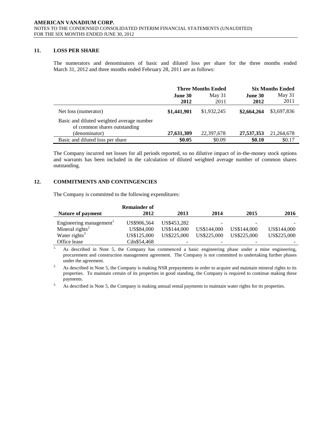# **11. LOSS PER SHARE**

The numerators and denominators of basic and diluted loss per share for the three months ended March 31, 2012 and three months ended February 28, 2011 are as follows:

|                                                                           | <b>Three Months Ended</b> |             | <b>Six Months Ended</b> |             |
|---------------------------------------------------------------------------|---------------------------|-------------|-------------------------|-------------|
|                                                                           | June 30                   | May $31$    | June 30                 | May 31      |
|                                                                           | 2012                      | 2011        | 2012                    | 2011        |
| Net loss (numerator)                                                      | \$1,441,901               | \$1,932,245 | \$2,664,264             | \$3,697,836 |
| Basic and diluted weighted average number<br>of common shares outstanding |                           |             |                         |             |
| (denominator)                                                             | 27,631,309                | 22,397,678  | 27,537,353              | 21,264,678  |
| Basic and diluted loss per share                                          | \$0.05                    | \$0.09      | \$0.10                  | \$0.17      |

The Company incurred net losses for all periods reported, so no dilutive impact of in-the-money stock options and warrants has been included in the calculation of diluted weighted average number of common shares outstanding.

# **12. COMMITMENTS AND CONTINGENCIES**

The Company is committed to the following expenditures:

|                                     | <b>Remainder of</b> |             |                          |             |             |
|-------------------------------------|---------------------|-------------|--------------------------|-------------|-------------|
| Nature of payment                   | 2012                | 2013        | 2014                     | 2015        | 2016        |
| Engineering management <sup>1</sup> | US\$906.564         | US\$453,282 | $\overline{\phantom{0}}$ |             |             |
| Mineral rights <sup>2</sup>         | US\$84,000          | US\$144,000 | US\$144,000              | US\$144,000 | US\$144,000 |
| Water rights <sup>3</sup>           | US\$125,000         | US\$225,000 | US\$225,000              | US\$225,000 | US\$225,000 |
| Office lease                        | Cdn\$54,468         |             | $\overline{\phantom{0}}$ |             |             |

<sup>1.</sup> As described in Note 5, the Company has commenced a basic engineering phase under a mine engineering, procurement and construction management agreement. The Company is not committed to undertaking further phases under the agreement.

<sup>2.</sup> As described in Note 5, the Company is making NSR prepayments in order to acquire and maintain mineral rights to its properties. To maintain certain of its properties in good standing, the Company is required to continue making these payments.

<sup>3.</sup> As described in Note 5, the Company is making annual rental payments to maintain water rights for its properties.